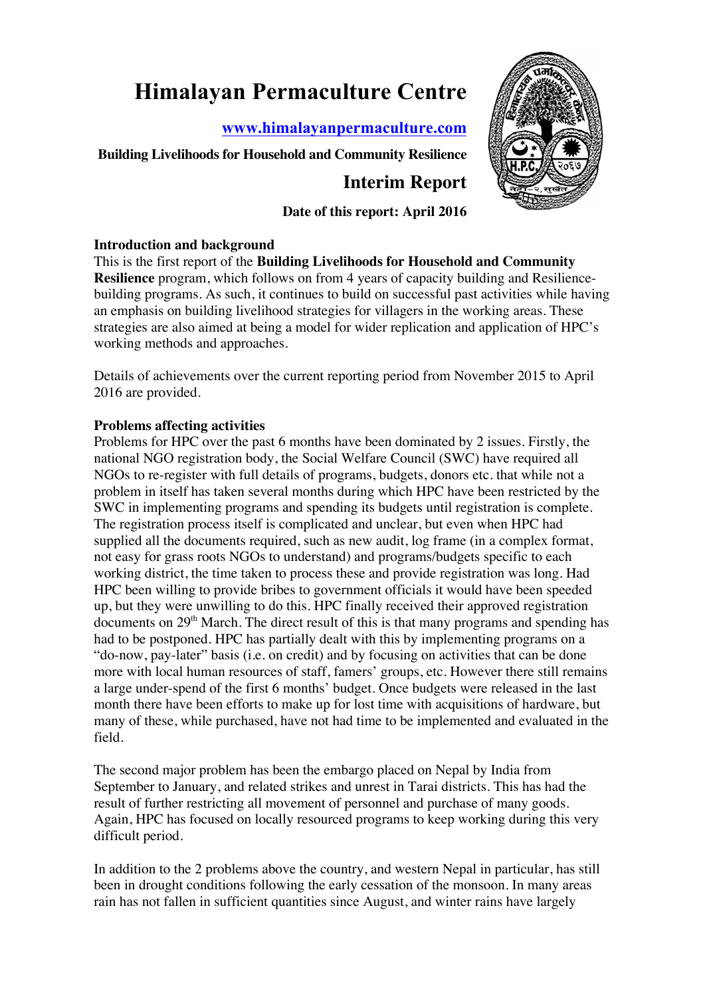# **Himalayan Permaculture Centre**

**www.himalayanpermaculture.com**

# **Building Livelihoods for Household and Community Resilience**

# **Interim Report**

# **Date of this report: April 2016**

#### **Introduction and background**

This is the first report of the **Building Livelihoods for Household and Community Resilience** program, which follows on from 4 years of capacity building and Resiliencebuilding programs. As such, it continues to build on successful past activities while having an emphasis on building livelihood strategies for villagers in the working areas. These strategies are also aimed at being a model for wider replication and application of HPC's working methods and approaches.

Details of achievements over the current reporting period from November 2015 to April 2016 are provided.

# **Problems affecting activities**

Problems for HPC over the past 6 months have been dominated by 2 issues. Firstly, the national NGO registration body, the Social Welfare Council (SWC) have required all NGOs to re-register with full details of programs, budgets, donors etc. that while not a problem in itself has taken several months during which HPC have been restricted by the SWC in implementing programs and spending its budgets until registration is complete. The registration process itself is complicated and unclear, but even when HPC had supplied all the documents required, such as new audit, log frame (in a complex format, not easy for grass roots NGOs to understand) and programs/budgets specific to each working district, the time taken to process these and provide registration was long. Had HPC been willing to provide bribes to government officials it would have been speeded up, but they were unwilling to do this. HPC finally received their approved registration documents on 29<sup>th</sup> March. The direct result of this is that many programs and spending has had to be postponed. HPC has partially dealt with this by implementing programs on a "do-now, pay-later" basis (i.e. on credit) and by focusing on activities that can be done more with local human resources of staff, famers' groups, etc. However there still remains a large under-spend of the first 6 months' budget. Once budgets were released in the last month there have been efforts to make up for lost time with acquisitions of hardware, but many of these, while purchased, have not had time to be implemented and evaluated in the field.

The second major problem has been the embargo placed on Nepal by India from September to January, and related strikes and unrest in Tarai districts. This has had the result of further restricting all movement of personnel and purchase of many goods. Again, HPC has focused on locally resourced programs to keep working during this very difficult period.

In addition to the 2 problems above the country, and western Nepal in particular, has still been in drought conditions following the early cessation of the monsoon. In many areas rain has not fallen in sufficient quantities since August, and winter rains have largely

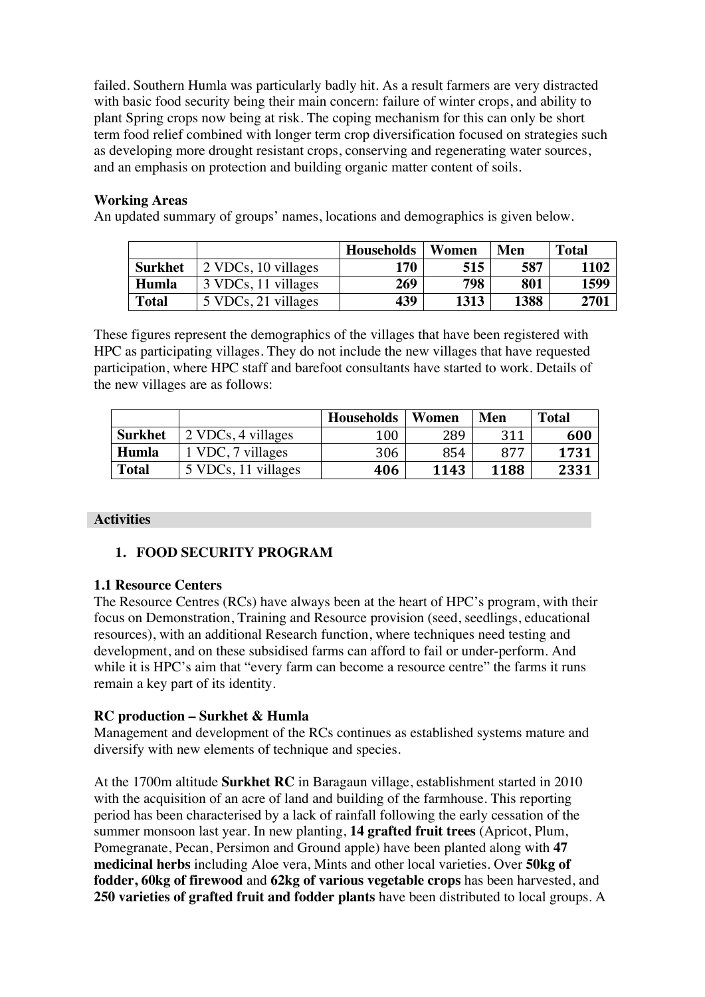failed. Southern Humla was particularly badly hit. As a result farmers are very distracted with basic food security being their main concern: failure of winter crops, and ability to plant Spring crops now being at risk. The coping mechanism for this can only be short term food relief combined with longer term crop diversification focused on strategies such as developing more drought resistant crops, conserving and regenerating water sources, and an emphasis on protection and building organic matter content of soils.

#### **Working Areas**

An updated summary of groups' names, locations and demographics is given below.

|              |                     | <b>Households</b> | Women | Men  | <b>Total</b> |
|--------------|---------------------|-------------------|-------|------|--------------|
| Surkhet      | 2 VDCs, 10 villages | 170               | 515   | 587  | 1102         |
| Humla        | 3 VDCs, 11 villages | 269               | 798   | 801  | 1599         |
| <b>Total</b> | 5 VDCs, 21 villages | 439               | 1313  | 1388 | 2701         |

These figures represent the demographics of the villages that have been registered with HPC as participating villages. They do not include the new villages that have requested participation, where HPC staff and barefoot consultants have started to work. Details of the new villages are as follows:

|                |                     | <b>Households</b> | Women | Men  | <b>Total</b> |
|----------------|---------------------|-------------------|-------|------|--------------|
| <b>Surkhet</b> | 2 VDCs, 4 villages  | 100               | 289   | 311  | 600          |
| Humla          | 1 VDC, 7 villages   | 306               | 854   | 877  | 1731         |
| <b>Total</b>   | 5 VDCs, 11 villages | 406               | 1143  | 1188 | 2331         |

#### **Activities**

# **1. FOOD SECURITY PROGRAM**

#### **1.1 Resource Centers**

The Resource Centres (RCs) have always been at the heart of HPC's program, with their focus on Demonstration, Training and Resource provision (seed, seedlings, educational resources), with an additional Research function, where techniques need testing and development, and on these subsidised farms can afford to fail or under-perform. And while it is HPC's aim that "every farm can become a resource centre" the farms it runs remain a key part of its identity.

# **RC production – Surkhet & Humla**

Management and development of the RCs continues as established systems mature and diversify with new elements of technique and species.

At the 1700m altitude **Surkhet RC** in Baragaun village, establishment started in 2010 with the acquisition of an acre of land and building of the farmhouse. This reporting period has been characterised by a lack of rainfall following the early cessation of the summer monsoon last year. In new planting, **14 grafted fruit trees** (Apricot, Plum, Pomegranate, Pecan, Persimon and Ground apple) have been planted along with **47 medicinal herbs** including Aloe vera, Mints and other local varieties. Over **50kg of fodder, 60kg of firewood** and **62kg of various vegetable crops** has been harvested, and **250 varieties of grafted fruit and fodder plants** have been distributed to local groups. A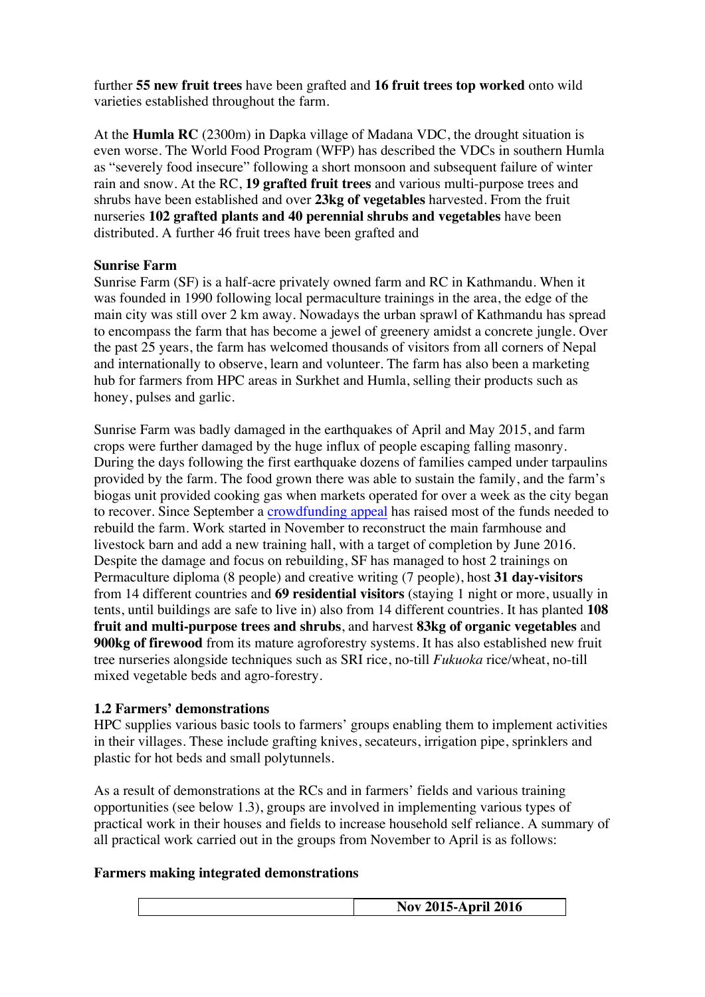further **55 new fruit trees** have been grafted and **16 fruit trees top worked** onto wild varieties established throughout the farm.

At the **Humla RC** (2300m) in Dapka village of Madana VDC, the drought situation is even worse. The World Food Program (WFP) has described the VDCs in southern Humla as "severely food insecure" following a short monsoon and subsequent failure of winter rain and snow. At the RC, **19 grafted fruit trees** and various multi-purpose trees and shrubs have been established and over **23kg of vegetables** harvested. From the fruit nurseries **102 grafted plants and 40 perennial shrubs and vegetables** have been distributed. A further 46 fruit trees have been grafted and

#### **Sunrise Farm**

Sunrise Farm (SF) is a half-acre privately owned farm and RC in Kathmandu. When it was founded in 1990 following local permaculture trainings in the area, the edge of the main city was still over 2 km away. Nowadays the urban sprawl of Kathmandu has spread to encompass the farm that has become a jewel of greenery amidst a concrete jungle. Over the past 25 years, the farm has welcomed thousands of visitors from all corners of Nepal and internationally to observe, learn and volunteer. The farm has also been a marketing hub for farmers from HPC areas in Surkhet and Humla, selling their products such as honey, pulses and garlic.

Sunrise Farm was badly damaged in the earthquakes of April and May 2015, and farm crops were further damaged by the huge influx of people escaping falling masonry. During the days following the first earthquake dozens of families camped under tarpaulins provided by the farm. The food grown there was able to sustain the family, and the farm's biogas unit provided cooking gas when markets operated for over a week as the city began to recover. Since September a crowdfunding appeal has raised most of the funds needed to rebuild the farm. Work started in November to reconstruct the main farmhouse and livestock barn and add a new training hall, with a target of completion by June 2016. Despite the damage and focus on rebuilding, SF has managed to host 2 trainings on Permaculture diploma (8 people) and creative writing (7 people), host **31 day-visitors** from 14 different countries and **69 residential visitors** (staying 1 night or more, usually in tents, until buildings are safe to live in) also from 14 different countries. It has planted **108 fruit and multi-purpose trees and shrubs**, and harvest **83kg of organic vegetables** and **900kg of firewood** from its mature agroforestry systems. It has also established new fruit tree nurseries alongside techniques such as SRI rice, no-till *Fukuoka* rice/wheat, no-till mixed vegetable beds and agro-forestry.

#### **1.2 Farmers' demonstrations**

HPC supplies various basic tools to farmers' groups enabling them to implement activities in their villages. These include grafting knives, secateurs, irrigation pipe, sprinklers and plastic for hot beds and small polytunnels.

As a result of demonstrations at the RCs and in farmers' fields and various training opportunities (see below 1.3), groups are involved in implementing various types of practical work in their houses and fields to increase household self reliance. A summary of all practical work carried out in the groups from November to April is as follows:

#### **Farmers making integrated demonstrations**

| 2016<br>2015-April .<br>Nov          |
|--------------------------------------|
| $\mathbf{A} = \mathbf{A} \mathbf{A}$ |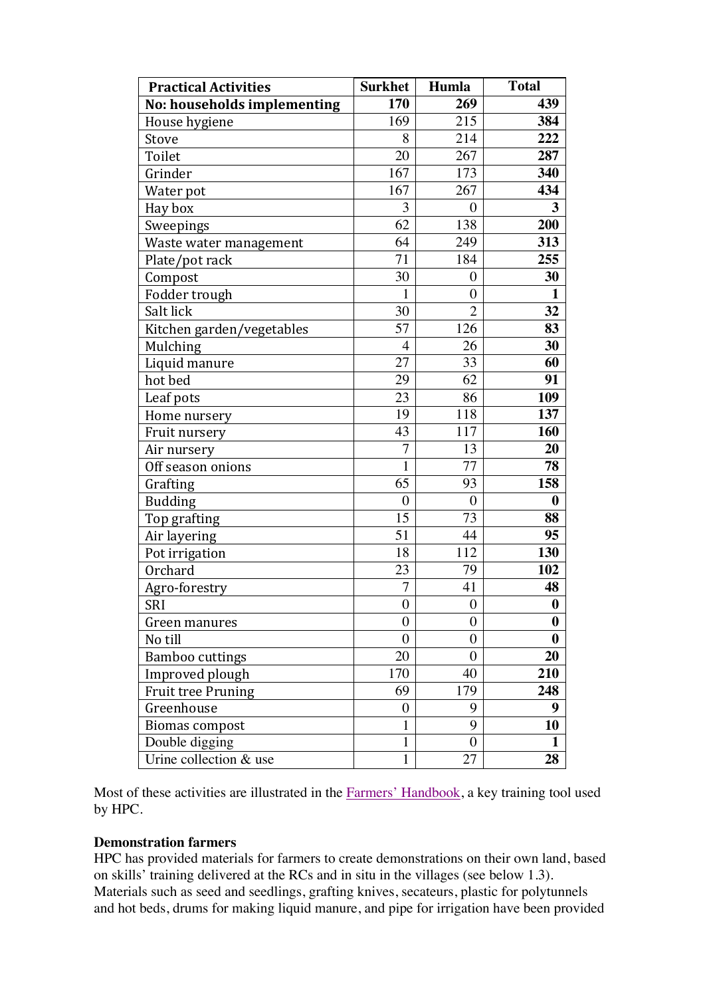| <b>Practical Activities</b> | <b>Surkhet</b>   | Humla            | <b>Total</b>     |  |
|-----------------------------|------------------|------------------|------------------|--|
| No: households implementing | 170              | 269              | 439              |  |
| House hygiene               | 169              | 215              | 384              |  |
| Stove                       | 8                | 214              | 222              |  |
| Toilet                      | 20               | 267              | 287              |  |
| Grinder                     | 167              | 173              | 340              |  |
| Water pot                   | 167              | 267              | 434              |  |
| Hay box                     | 3                | $\boldsymbol{0}$ | 3                |  |
| Sweepings                   | 62               | 138              | 200              |  |
| Waste water management      | 64               | 249              | 313              |  |
| Plate/pot rack              | 71               | 184              | 255              |  |
| Compost                     | 30               | $\boldsymbol{0}$ | 30               |  |
| Fodder trough               | $\mathbf{1}$     | $\boldsymbol{0}$ | $\mathbf{1}$     |  |
| Salt lick                   | 30               | $\overline{2}$   | 32               |  |
| Kitchen garden/vegetables   | 57               | 126              | 83               |  |
| Mulching                    | $\overline{4}$   | 26               | 30               |  |
| Liquid manure               | 27               | 33               | 60               |  |
| hot bed                     | 29               | 62               | 91               |  |
| Leaf pots                   | 23               | 86               | 109              |  |
| Home nursery                | 19               | 118              | 137              |  |
| Fruit nursery               | 43               | 117              | 160              |  |
| Air nursery                 | $\overline{7}$   | 13               | 20               |  |
| Off season onions           | $\mathbf{1}$     | 77               | 78               |  |
| Grafting                    | 65               | 93               | 158              |  |
| <b>Budding</b>              | $\boldsymbol{0}$ | $\boldsymbol{0}$ | $\boldsymbol{0}$ |  |
| Top grafting                | 15               | 73               | 88               |  |
| Air layering                | 51               | 44               | 95               |  |
| Pot irrigation              | 18               | 112              | 130              |  |
| Orchard                     | 23               | 79               | 102              |  |
| Agro-forestry               | $\overline{7}$   | 41               | 48               |  |
| SRI                         | $\boldsymbol{0}$ | $\boldsymbol{0}$ | $\bf{0}$         |  |
| Green manures               | $\boldsymbol{0}$ | $\overline{0}$   | $\boldsymbol{0}$ |  |
| No till                     | $\overline{0}$   | $\boldsymbol{0}$ | $\boldsymbol{0}$ |  |
| <b>Bamboo cuttings</b>      | 20               | $\overline{0}$   | 20               |  |
| Improved plough             | 170              | 40               | 210              |  |
| <b>Fruit tree Pruning</b>   | 69               | 179              | 248              |  |
| Greenhouse                  | $\boldsymbol{0}$ | 9                | 9                |  |
| <b>Biomas compost</b>       | $\mathbf{1}$     | 9                | 10               |  |
| Double digging              | $\mathbf{1}$     | $\overline{0}$   | $\mathbf{1}$     |  |
| Urine collection & use      | 1                | 27               | 28               |  |

Most of these activities are illustrated in the Farmers' Handbook, a key training tool used by HPC.

#### **Demonstration farmers**

HPC has provided materials for farmers to create demonstrations on their own land, based on skills' training delivered at the RCs and in situ in the villages (see below 1.3). Materials such as seed and seedlings, grafting knives, secateurs, plastic for polytunnels and hot beds, drums for making liquid manure, and pipe for irrigation have been provided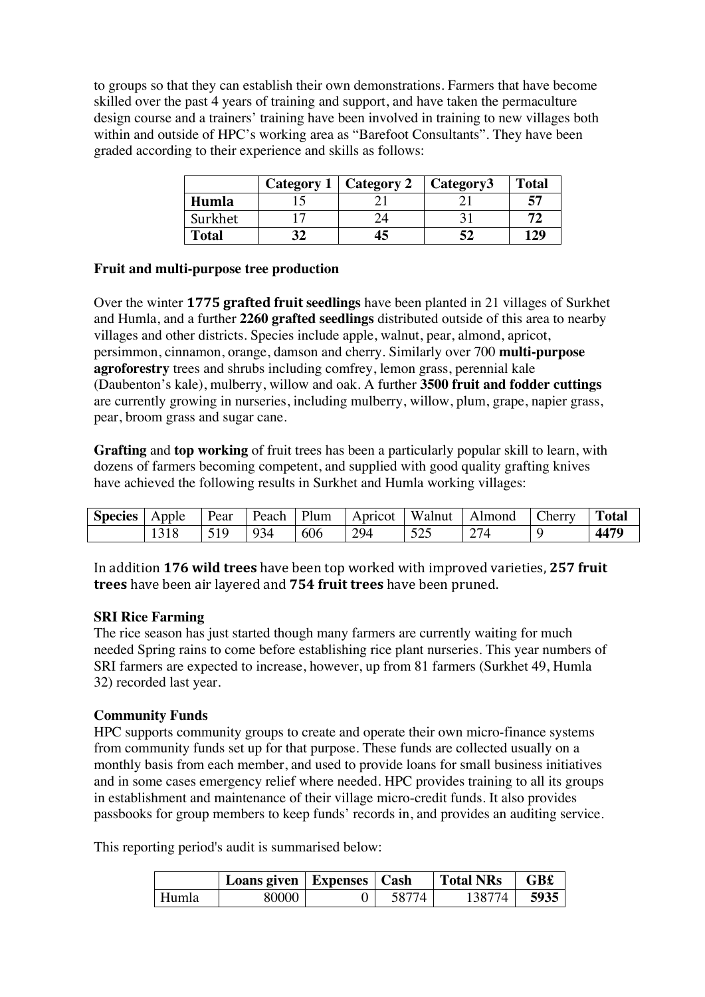to groups so that they can establish their own demonstrations. Farmers that have become skilled over the past 4 years of training and support, and have taken the permaculture design course and a trainers' training have been involved in training to new villages both within and outside of HPC's working area as "Barefoot Consultants". They have been graded according to their experience and skills as follows:

|              |                          | Category 1   Category 2 | <b>Category3</b> | <b>Total</b> |
|--------------|--------------------------|-------------------------|------------------|--------------|
| Humla        | ⊥ັ                       | ∸                       | ◢                | EA           |
| Surkhet      | $\overline{\phantom{0}}$ | 24                      |                  |              |
| <b>Total</b> | ◡▵                       | 45                      | 34               | 129          |

#### **Fruit and multi-purpose tree production**

Over the winter **1775 grafted fruit seedlings** have been planted in 21 villages of Surkhet and Humla, and a further **2260 grafted seedlings** distributed outside of this area to nearby villages and other districts. Species include apple, walnut, pear, almond, apricot, persimmon, cinnamon, orange, damson and cherry. Similarly over 700 **multi-purpose agroforestry** trees and shrubs including comfrey, lemon grass, perennial kale (Daubenton's kale), mulberry, willow and oak. A further **3500 fruit and fodder cuttings** are currently growing in nurseries, including mulberry, willow, plum, grape, napier grass, pear, broom grass and sugar cane.

**Grafting** and **top working** of fruit trees has been a particularly popular skill to learn, with dozens of farmers becoming competent, and supplied with good quality grafting knives have achieved the following results in Surkhet and Humla working villages:

| <b>Species</b> | Apple        | $\mathbf{r}$<br>Pear | Peach | Plum | Apricot   | <b>TTT</b><br><b>Walnut</b> | .Imond      | herry | <b>TIL</b><br>`otal |
|----------------|--------------|----------------------|-------|------|-----------|-----------------------------|-------------|-------|---------------------|
|                | $\sim$<br>⊥ັ | $-10$<br>↩<br>.      | 934   | 606  | 294<br>-- | 505<br>ن ⊿ ب                | $\sim$<br>∼ |       | $447^\circ$         |

In addition 176 wild trees have been top worked with improved varieties, 257 fruit **trees** have been air layered and **754 fruit trees** have been pruned.

#### **SRI Rice Farming**

The rice season has just started though many farmers are currently waiting for much needed Spring rains to come before establishing rice plant nurseries. This year numbers of SRI farmers are expected to increase, however, up from 81 farmers (Surkhet 49, Humla 32) recorded last year.

# **Community Funds**

HPC supports community groups to create and operate their own micro-finance systems from community funds set up for that purpose. These funds are collected usually on a monthly basis from each member, and used to provide loans for small business initiatives and in some cases emergency relief where needed. HPC provides training to all its groups in establishment and maintenance of their village micro-credit funds. It also provides passbooks for group members to keep funds' records in, and provides an auditing service.

This reporting period's audit is summarised below:

|       | Loans given   Expenses   Cash |  | <b>Total NRs</b> | GB£  |
|-------|-------------------------------|--|------------------|------|
| Humla | 80000                         |  | 1387             | 5935 |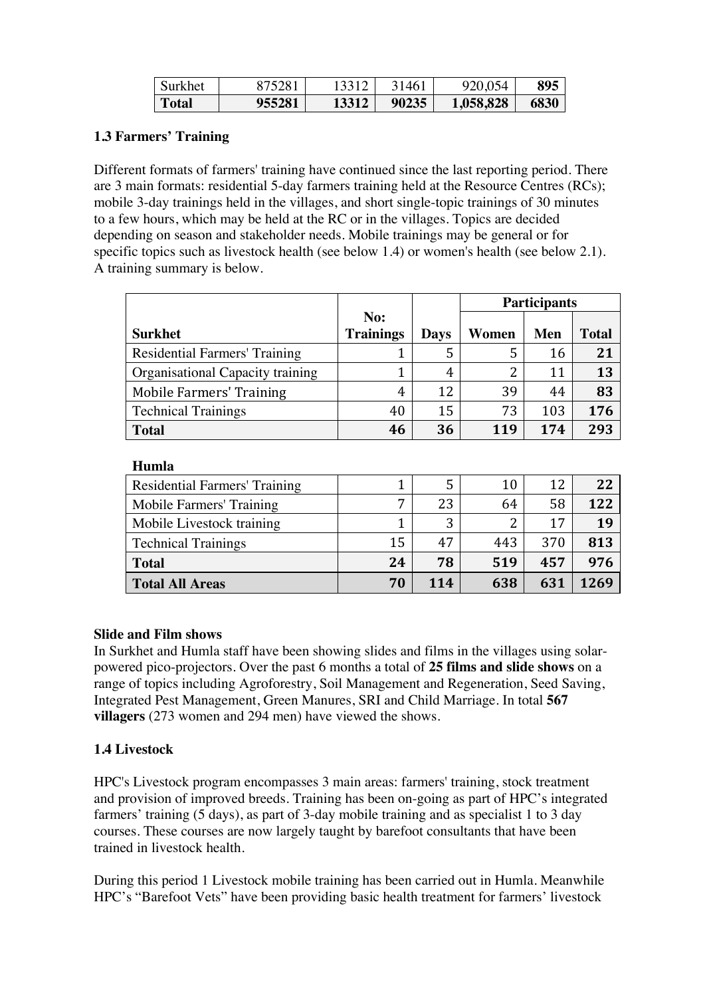| Surkhet      | 375281 |       | 31461 | 920,054   | 895  |
|--------------|--------|-------|-------|-----------|------|
| <b>Total</b> | 955281 | 13312 | 90235 | 1,058,828 | 6830 |

# **1.3 Farmers' Training**

Different formats of farmers' training have continued since the last reporting period. There are 3 main formats: residential 5-day farmers training held at the Resource Centres (RCs); mobile 3-day trainings held in the villages, and short single-topic trainings of 30 minutes to a few hours, which may be held at the RC or in the villages. Topics are decided depending on season and stakeholder needs. Mobile trainings may be general or for specific topics such as livestock health (see below 1.4) or women's health (see below 2.1). A training summary is below.

|                                  |                  |             | <b>Participants</b> |     |              |
|----------------------------------|------------------|-------------|---------------------|-----|--------------|
|                                  | No:              |             |                     |     |              |
| <b>Surkhet</b>                   | <b>Trainings</b> | <b>Days</b> | Women               | Men | <b>Total</b> |
| Residential Farmers' Training    |                  |             | 5                   | 16  | 21           |
| Organisational Capacity training |                  | 4           | 2                   | 11  | 13           |
| <b>Mobile Farmers' Training</b>  | 4                | 12          | 39                  | 44  | 83           |
| <b>Technical Trainings</b>       | 40               | 15          | 73                  | 103 | 176          |
| <b>Total</b>                     | 46               | 36          | 119                 | 174 | 293          |

#### **Humla**

| Residential Farmers' Training |    | .5  | 10  | 12  | 22   |
|-------------------------------|----|-----|-----|-----|------|
| Mobile Farmers' Training      | 7  | 23  | 64  | 58  | 122  |
| Mobile Livestock training     |    | 3   | ົ   | 17  | 19   |
| <b>Technical Trainings</b>    | 15 | 47  | 443 | 370 | 813  |
| <b>Total</b>                  | 24 | 78  | 519 | 457 | 976  |
| <b>Total All Areas</b>        | 70 | 114 | 638 | 631 | 1269 |

#### **Slide and Film shows**

In Surkhet and Humla staff have been showing slides and films in the villages using solarpowered pico-projectors. Over the past 6 months a total of **25 films and slide shows** on a range of topics including Agroforestry, Soil Management and Regeneration, Seed Saving, Integrated Pest Management, Green Manures, SRI and Child Marriage. In total **567 villagers** (273 women and 294 men) have viewed the shows.

# **1.4 Livestock**

HPC's Livestock program encompasses 3 main areas: farmers' training, stock treatment and provision of improved breeds. Training has been on-going as part of HPC's integrated farmers' training (5 days), as part of 3-day mobile training and as specialist 1 to 3 day courses. These courses are now largely taught by barefoot consultants that have been trained in livestock health.

During this period 1 Livestock mobile training has been carried out in Humla. Meanwhile HPC's "Barefoot Vets" have been providing basic health treatment for farmers' livestock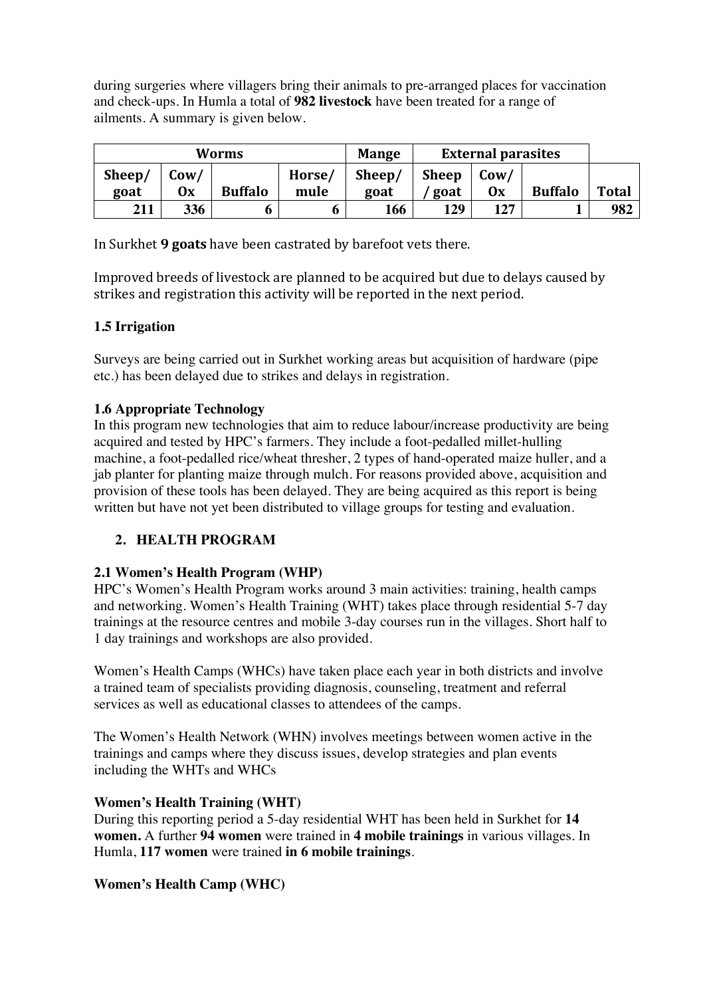during surgeries where villagers bring their animals to pre-arranged places for vaccination and check-ups. In Humla a total of **982 livestock** have been treated for a range of ailments. A summary is given below.

| Worms  |      |                | <b>Mange</b> | <b>External parasites</b> |              |                      |                |              |
|--------|------|----------------|--------------|---------------------------|--------------|----------------------|----------------|--------------|
| Sheep/ | Cow/ |                | Horse/       | Sheep/                    | <b>Sheep</b> | $\text{Cow}/\text{}$ |                |              |
| goat   | 0x   | <b>Buffalo</b> | mule         | goat                      | goat         | 0x                   | <b>Buffalo</b> | <b>Total</b> |
| 211    | 336  |                | o            | 166                       | 129          | 127                  |                | 982          |

In Surkhet **9 goats** have been castrated by barefoot vets there.

Improved breeds of livestock are planned to be acquired but due to delays caused by strikes and registration this activity will be reported in the next period.

# **1.5 Irrigation**

Surveys are being carried out in Surkhet working areas but acquisition of hardware (pipe etc.) has been delayed due to strikes and delays in registration.

# **1.6 Appropriate Technology**

In this program new technologies that aim to reduce labour/increase productivity are being acquired and tested by HPC's farmers. They include a foot-pedalled millet-hulling machine, a foot-pedalled rice/wheat thresher, 2 types of hand-operated maize huller, and a jab planter for planting maize through mulch. For reasons provided above, acquisition and provision of these tools has been delayed. They are being acquired as this report is being written but have not yet been distributed to village groups for testing and evaluation.

# **2. HEALTH PROGRAM**

# **2.1 Women's Health Program (WHP)**

HPC's Women's Health Program works around 3 main activities: training, health camps and networking. Women's Health Training (WHT) takes place through residential 5-7 day trainings at the resource centres and mobile 3-day courses run in the villages. Short half to 1 day trainings and workshops are also provided.

Women's Health Camps (WHCs) have taken place each year in both districts and involve a trained team of specialists providing diagnosis, counseling, treatment and referral services as well as educational classes to attendees of the camps.

The Women's Health Network (WHN) involves meetings between women active in the trainings and camps where they discuss issues, develop strategies and plan events including the WHTs and WHCs

# **Women's Health Training (WHT)**

During this reporting period a 5-day residential WHT has been held in Surkhet for **14 women.** A further **94 women** were trained in **4 mobile trainings** in various villages. In Humla, **117 women** were trained **in 6 mobile trainings**.

# **Women's Health Camp (WHC)**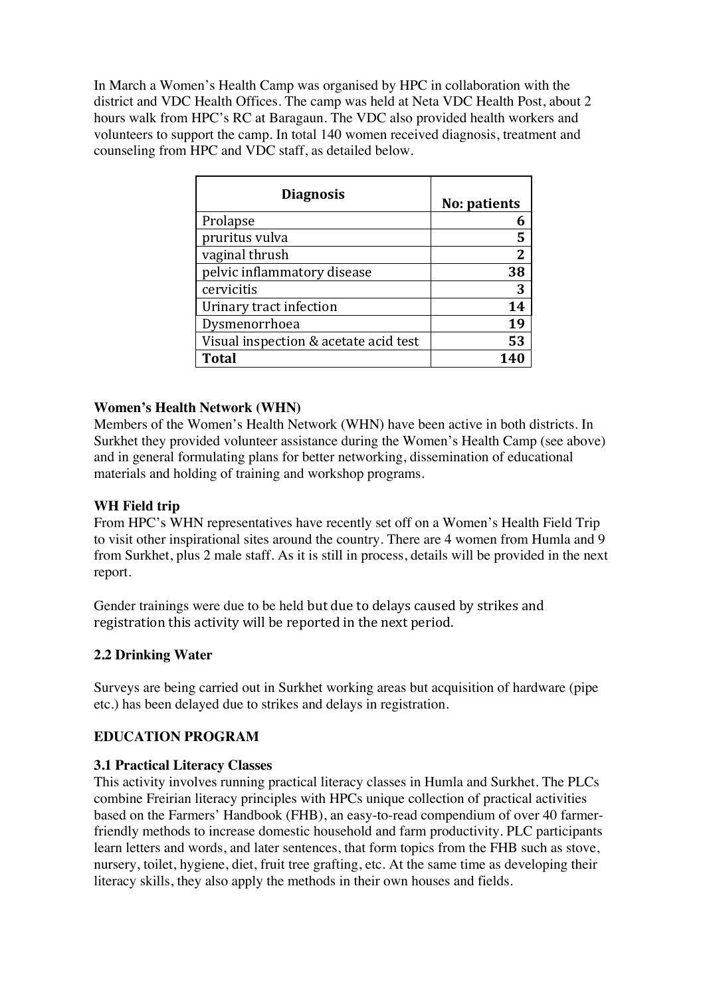In March a Women's Health Camp was organised by HPC in collaboration with the district and VDC Health Offices. The camp was held at Neta VDC Health Post, about 2 hours walk from HPC's RC at Baragaun. The VDC also provided health workers and volunteers to support the camp. In total 140 women received diagnosis, treatment and counseling from HPC and VDC staff, as detailed below.

| <b>Diagnosis</b>                      | No: patients |
|---------------------------------------|--------------|
| Prolapse                              |              |
| pruritus vulva                        | 5            |
| vaginal thrush                        | 2            |
| pelvic inflammatory disease           | 38           |
| cervicitis                            | 3            |
| Urinary tract infection               | 14           |
| Dysmenorrhoea                         | 19           |
| Visual inspection & acetate acid test | 53           |
| <b>Total</b>                          |              |

# **Women's Health Network (WHN)**

Members of the Women's Health Network (WHN) have been active in both districts. In Surkhet they provided volunteer assistance during the Women's Health Camp (see above) and in general formulating plans for better networking, dissemination of educational materials and holding of training and workshop programs.

# **WH Field trip**

From HPC's WHN representatives have recently set off on a Women's Health Field Trip to visit other inspirational sites around the country. There are 4 women from Humla and 9 from Surkhet, plus 2 male staff. As it is still in process, details will be provided in the next report.

Gender trainings were due to be held but due to delays caused by strikes and registration this activity will be reported in the next period.

# **2.2 Drinking Water**

Surveys are being carried out in Surkhet working areas but acquisition of hardware (pipe etc.) has been delayed due to strikes and delays in registration.

# **EDUCATION PROGRAM**

# **3.1 Practical Literacy Classes**

This activity involves running practical literacy classes in Humla and Surkhet. The PLCs combine Freirian literacy principles with HPCs unique collection of practical activities based on the Farmers' Handbook (FHB), an easy-to-read compendium of over 40 farmerfriendly methods to increase domestic household and farm productivity. PLC participants learn letters and words, and later sentences, that form topics from the FHB such as stove, nursery, toilet, hygiene, diet, fruit tree grafting, etc. At the same time as developing their literacy skills, they also apply the methods in their own houses and fields.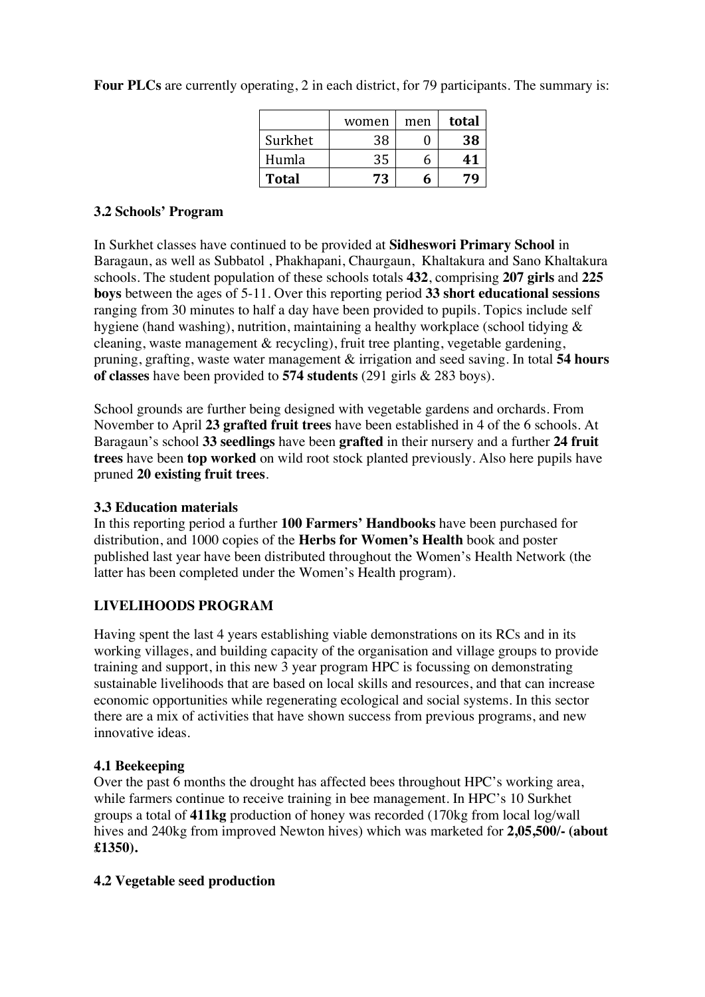**Four PLCs** are currently operating, 2 in each district, for 79 participants. The summary is:

|              | women | men | total |
|--------------|-------|-----|-------|
| Surkhet      | 38    |     | 38    |
| Humla        | 35    | h   | 41    |
| <b>Total</b> | 73    | h   |       |

# **3.2 Schools' Program**

In Surkhet classes have continued to be provided at **Sidheswori Primary School** in Baragaun, as well as Subbatol , Phakhapani, Chaurgaun, Khaltakura and Sano Khaltakura schools. The student population of these schools totals **432**, comprising **207 girls** and **225 boys** between the ages of 5-11. Over this reporting period **33 short educational sessions** ranging from 30 minutes to half a day have been provided to pupils. Topics include self hygiene (hand washing), nutrition, maintaining a healthy workplace (school tidying & cleaning, waste management & recycling), fruit tree planting, vegetable gardening, pruning, grafting, waste water management & irrigation and seed saving. In total **54 hours of classes** have been provided to **574 students** (291 girls & 283 boys).

School grounds are further being designed with vegetable gardens and orchards. From November to April **23 grafted fruit trees** have been established in 4 of the 6 schools. At Baragaun's school **33 seedlings** have been **grafted** in their nursery and a further **24 fruit trees** have been **top worked** on wild root stock planted previously. Also here pupils have pruned **20 existing fruit trees**.

# **3.3 Education materials**

In this reporting period a further **100 Farmers' Handbooks** have been purchased for distribution, and 1000 copies of the **Herbs for Women's Health** book and poster published last year have been distributed throughout the Women's Health Network (the latter has been completed under the Women's Health program).

# **LIVELIHOODS PROGRAM**

Having spent the last 4 years establishing viable demonstrations on its RCs and in its working villages, and building capacity of the organisation and village groups to provide training and support, in this new 3 year program HPC is focussing on demonstrating sustainable livelihoods that are based on local skills and resources, and that can increase economic opportunities while regenerating ecological and social systems. In this sector there are a mix of activities that have shown success from previous programs, and new innovative ideas.

# **4.1 Beekeeping**

Over the past 6 months the drought has affected bees throughout HPC's working area, while farmers continue to receive training in bee management. In HPC's 10 Surkhet groups a total of **411kg** production of honey was recorded (170kg from local log/wall hives and 240kg from improved Newton hives) which was marketed for **2,05,500/- (about £1350).**

# **4.2 Vegetable seed production**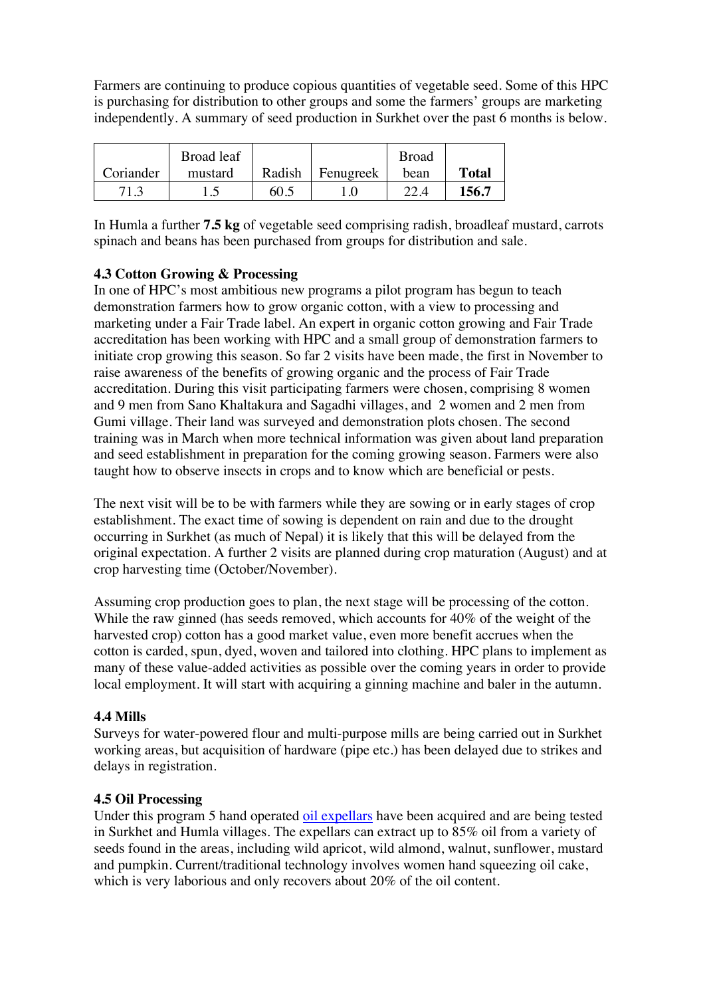Farmers are continuing to produce copious quantities of vegetable seed. Some of this HPC is purchasing for distribution to other groups and some the farmers' groups are marketing independently. A summary of seed production in Surkhet over the past 6 months is below.

|           | Broad leaf |        |           | <b>Broad</b> |              |
|-----------|------------|--------|-----------|--------------|--------------|
| Coriander | mustard    | Radish | Fenugreek | bean         | <b>Total</b> |
| 71.3      |            | 60.5   |           |              | 156.7        |

In Humla a further **7.5 kg** of vegetable seed comprising radish, broadleaf mustard, carrots spinach and beans has been purchased from groups for distribution and sale.

# **4.3 Cotton Growing & Processing**

In one of HPC's most ambitious new programs a pilot program has begun to teach demonstration farmers how to grow organic cotton, with a view to processing and marketing under a Fair Trade label. An expert in organic cotton growing and Fair Trade accreditation has been working with HPC and a small group of demonstration farmers to initiate crop growing this season. So far 2 visits have been made, the first in November to raise awareness of the benefits of growing organic and the process of Fair Trade accreditation. During this visit participating farmers were chosen, comprising 8 women and 9 men from Sano Khaltakura and Sagadhi villages, and 2 women and 2 men from Gumi village. Their land was surveyed and demonstration plots chosen. The second training was in March when more technical information was given about land preparation and seed establishment in preparation for the coming growing season. Farmers were also taught how to observe insects in crops and to know which are beneficial or pests.

The next visit will be to be with farmers while they are sowing or in early stages of crop establishment. The exact time of sowing is dependent on rain and due to the drought occurring in Surkhet (as much of Nepal) it is likely that this will be delayed from the original expectation. A further 2 visits are planned during crop maturation (August) and at crop harvesting time (October/November).

Assuming crop production goes to plan, the next stage will be processing of the cotton. While the raw ginned (has seeds removed, which accounts for 40% of the weight of the harvested crop) cotton has a good market value, even more benefit accrues when the cotton is carded, spun, dyed, woven and tailored into clothing. HPC plans to implement as many of these value-added activities as possible over the coming years in order to provide local employment. It will start with acquiring a ginning machine and baler in the autumn.

#### **4.4 Mills**

Surveys for water-powered flour and multi-purpose mills are being carried out in Surkhet working areas, but acquisition of hardware (pipe etc.) has been delayed due to strikes and delays in registration.

#### **4.5 Oil Processing**

Under this program 5 hand operated oil expellars have been acquired and are being tested in Surkhet and Humla villages. The expellars can extract up to 85% oil from a variety of seeds found in the areas, including wild apricot, wild almond, walnut, sunflower, mustard and pumpkin. Current/traditional technology involves women hand squeezing oil cake, which is very laborious and only recovers about 20% of the oil content.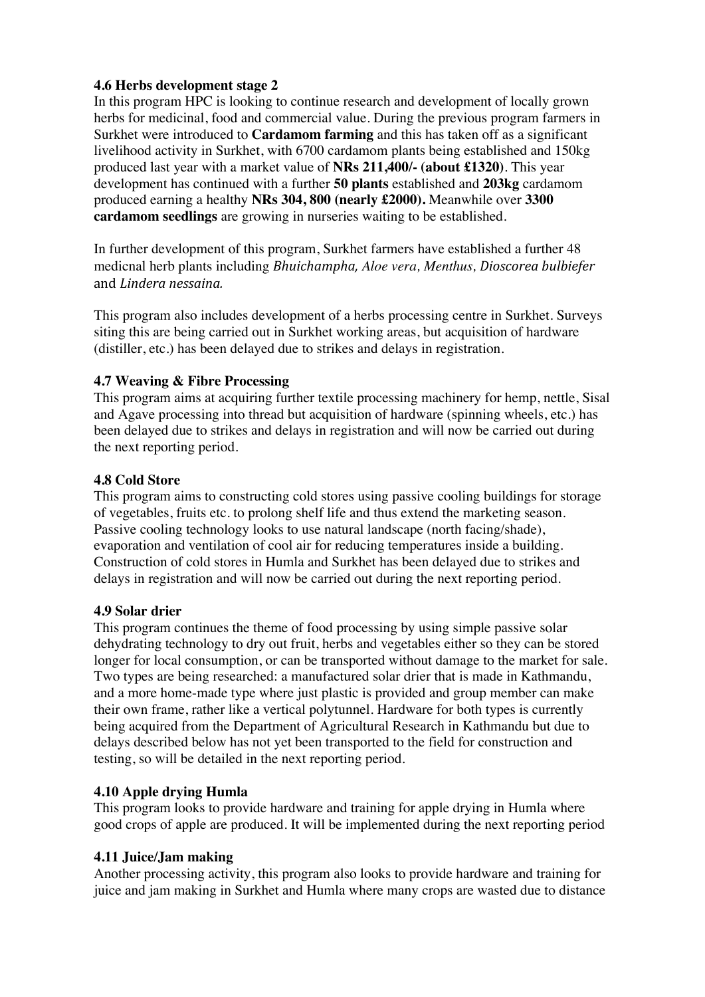#### **4.6 Herbs development stage 2**

In this program HPC is looking to continue research and development of locally grown herbs for medicinal, food and commercial value. During the previous program farmers in Surkhet were introduced to **Cardamom farming** and this has taken off as a significant livelihood activity in Surkhet, with 6700 cardamom plants being established and 150kg produced last year with a market value of **NRs 211,400/- (about £1320)**. This year development has continued with a further **50 plants** established and **203kg** cardamom produced earning a healthy **NRs 304, 800 (nearly £2000).** Meanwhile over **3300 cardamom seedlings** are growing in nurseries waiting to be established.

In further development of this program, Surkhet farmers have established a further 48 medicnal herb plants including *Bhuichampha, Aloe vera, Menthus, Dioscorea bulbiefer* and *Lindera nessaina.*

This program also includes development of a herbs processing centre in Surkhet. Surveys siting this are being carried out in Surkhet working areas, but acquisition of hardware (distiller, etc.) has been delayed due to strikes and delays in registration.

#### **4.7 Weaving & Fibre Processing**

This program aims at acquiring further textile processing machinery for hemp, nettle, Sisal and Agave processing into thread but acquisition of hardware (spinning wheels, etc.) has been delayed due to strikes and delays in registration and will now be carried out during the next reporting period.

#### **4.8 Cold Store**

This program aims to constructing cold stores using passive cooling buildings for storage of vegetables, fruits etc. to prolong shelf life and thus extend the marketing season. Passive cooling technology looks to use natural landscape (north facing/shade), evaporation and ventilation of cool air for reducing temperatures inside a building. Construction of cold stores in Humla and Surkhet has been delayed due to strikes and delays in registration and will now be carried out during the next reporting period.

#### **4.9 Solar drier**

This program continues the theme of food processing by using simple passive solar dehydrating technology to dry out fruit, herbs and vegetables either so they can be stored longer for local consumption, or can be transported without damage to the market for sale. Two types are being researched: a manufactured solar drier that is made in Kathmandu, and a more home-made type where just plastic is provided and group member can make their own frame, rather like a vertical polytunnel. Hardware for both types is currently being acquired from the Department of Agricultural Research in Kathmandu but due to delays described below has not yet been transported to the field for construction and testing, so will be detailed in the next reporting period.

#### **4.10 Apple drying Humla**

This program looks to provide hardware and training for apple drying in Humla where good crops of apple are produced. It will be implemented during the next reporting period

#### **4.11 Juice/Jam making**

Another processing activity, this program also looks to provide hardware and training for juice and jam making in Surkhet and Humla where many crops are wasted due to distance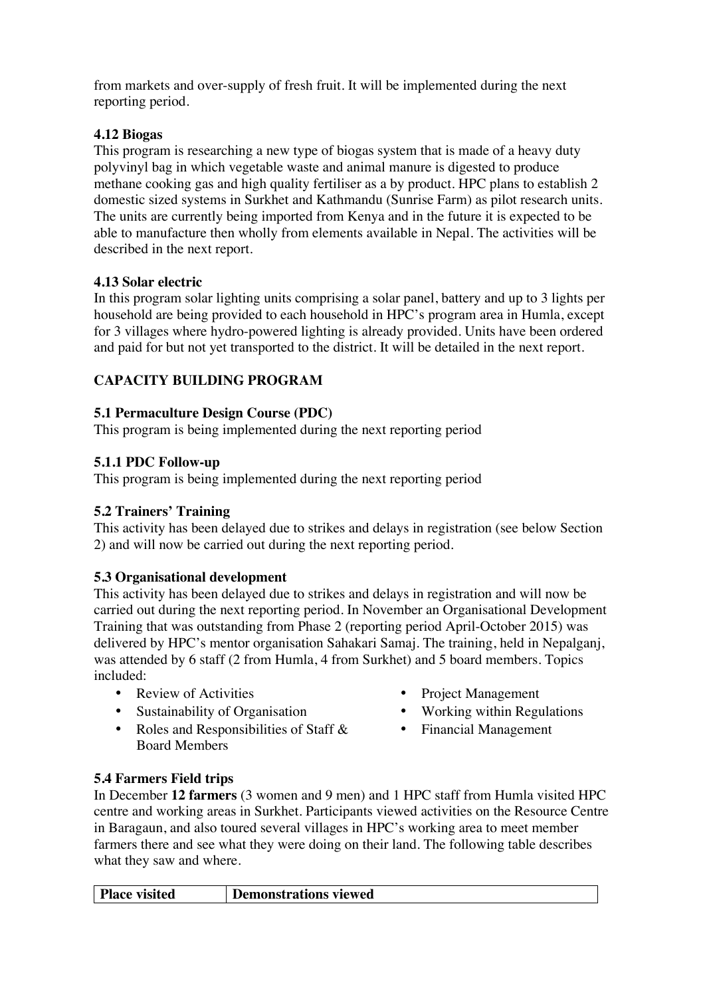from markets and over-supply of fresh fruit. It will be implemented during the next reporting period.

#### **4.12 Biogas**

This program is researching a new type of biogas system that is made of a heavy duty polyvinyl bag in which vegetable waste and animal manure is digested to produce methane cooking gas and high quality fertiliser as a by product. HPC plans to establish 2 domestic sized systems in Surkhet and Kathmandu (Sunrise Farm) as pilot research units. The units are currently being imported from Kenya and in the future it is expected to be able to manufacture then wholly from elements available in Nepal. The activities will be described in the next report.

#### **4.13 Solar electric**

In this program solar lighting units comprising a solar panel, battery and up to 3 lights per household are being provided to each household in HPC's program area in Humla, except for 3 villages where hydro-powered lighting is already provided. Units have been ordered and paid for but not yet transported to the district. It will be detailed in the next report.

# **CAPACITY BUILDING PROGRAM**

#### **5.1 Permaculture Design Course (PDC)**

This program is being implemented during the next reporting period

#### **5.1.1 PDC Follow-up**

This program is being implemented during the next reporting period

# **5.2 Trainers' Training**

This activity has been delayed due to strikes and delays in registration (see below Section 2) and will now be carried out during the next reporting period.

# **5.3 Organisational development**

This activity has been delayed due to strikes and delays in registration and will now be carried out during the next reporting period. In November an Organisational Development Training that was outstanding from Phase 2 (reporting period April-October 2015) was delivered by HPC's mentor organisation Sahakari Samaj. The training, held in Nepalganj, was attended by 6 staff (2 from Humla, 4 from Surkhet) and 5 board members. Topics included:

- 
- Sustainability of Organisation Working within Regulations
- Roles and Responsibilities of Staff & Board Members
- Review of Activities Project Management
	-
	- Financial Management

#### **5.4 Farmers Field trips**

In December **12 farmers** (3 women and 9 men) and 1 HPC staff from Humla visited HPC centre and working areas in Surkhet. Participants viewed activities on the Resource Centre in Baragaun, and also toured several villages in HPC's working area to meet member farmers there and see what they were doing on their land. The following table describes what they saw and where.

| <b>Place visited</b> | Demonstrations viewed |
|----------------------|-----------------------|
|----------------------|-----------------------|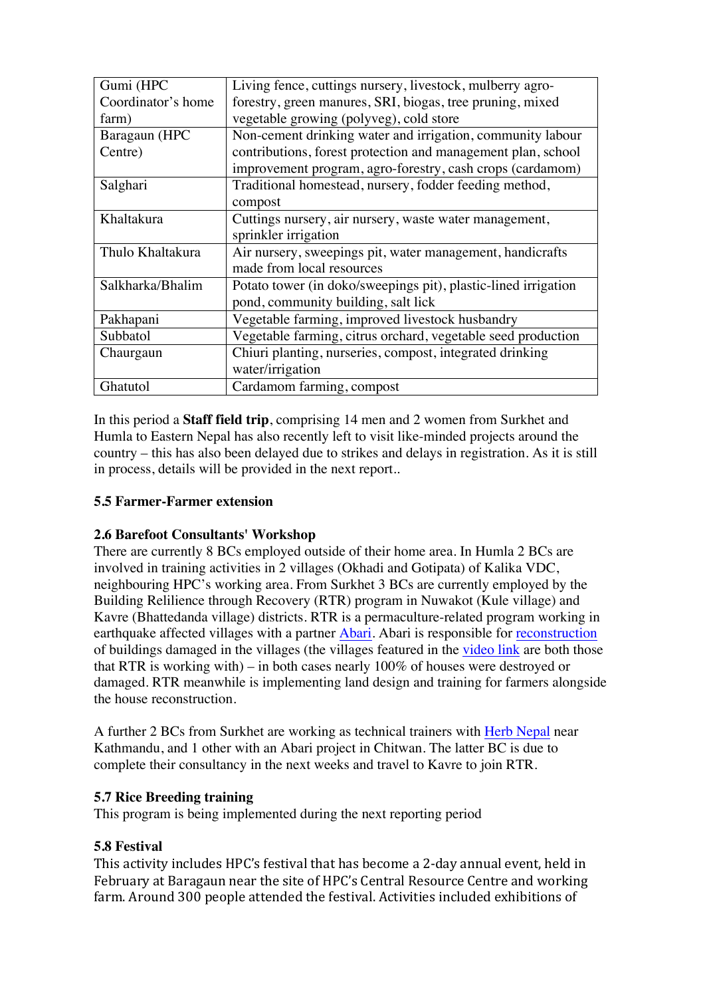| Gumi (HPC          | Living fence, cuttings nursery, livestock, mulberry agro-      |
|--------------------|----------------------------------------------------------------|
| Coordinator's home | forestry, green manures, SRI, biogas, tree pruning, mixed      |
| farm)              | vegetable growing (polyveg), cold store                        |
| Baragaun (HPC      | Non-cement drinking water and irrigation, community labour     |
| Centre)            | contributions, forest protection and management plan, school   |
|                    | improvement program, agro-forestry, cash crops (cardamom)      |
| Salghari           | Traditional homestead, nursery, fodder feeding method,         |
|                    | compost                                                        |
| Khaltakura         | Cuttings nursery, air nursery, waste water management,         |
|                    | sprinkler irrigation                                           |
| Thulo Khaltakura   | Air nursery, sweepings pit, water management, handicrafts      |
|                    | made from local resources                                      |
| Salkharka/Bhalim   | Potato tower (in doko/sweepings pit), plastic-lined irrigation |
|                    | pond, community building, salt lick                            |
| Pakhapani          | Vegetable farming, improved livestock husbandry                |
| Subbatol           | Vegetable farming, citrus orchard, vegetable seed production   |
| Chaurgaun          | Chiuri planting, nurseries, compost, integrated drinking       |
|                    | water/irrigation                                               |
| Ghatutol           | Cardamom farming, compost                                      |

In this period a **Staff field trip**, comprising 14 men and 2 women from Surkhet and Humla to Eastern Nepal has also recently left to visit like-minded projects around the country – this has also been delayed due to strikes and delays in registration. As it is still in process, details will be provided in the next report..

# **5.5 Farmer-Farmer extension**

# **2.6 Barefoot Consultants' Workshop**

There are currently 8 BCs employed outside of their home area. In Humla 2 BCs are involved in training activities in 2 villages (Okhadi and Gotipata) of Kalika VDC, neighbouring HPC's working area. From Surkhet 3 BCs are currently employed by the Building Relilience through Recovery (RTR) program in Nuwakot (Kule village) and Kavre (Bhattedanda village) districts. RTR is a permaculture-related program working in earthquake affected villages with a partner Abari. Abari is responsible for reconstruction of buildings damaged in the villages (the villages featured in the video link are both those that RTR is working with) – in both cases nearly 100% of houses were destroyed or damaged. RTR meanwhile is implementing land design and training for farmers alongside the house reconstruction.

A further 2 BCs from Surkhet are working as technical trainers with Herb Nepal near Kathmandu, and 1 other with an Abari project in Chitwan. The latter BC is due to complete their consultancy in the next weeks and travel to Kavre to join RTR.

# **5.7 Rice Breeding training**

This program is being implemented during the next reporting period

# **5.8 Festival**

This activity includes HPC's festival that has become a 2-day annual event, held in February at Baragaun near the site of HPC's Central Resource Centre and working farm. Around 300 people attended the festival. Activities included exhibitions of